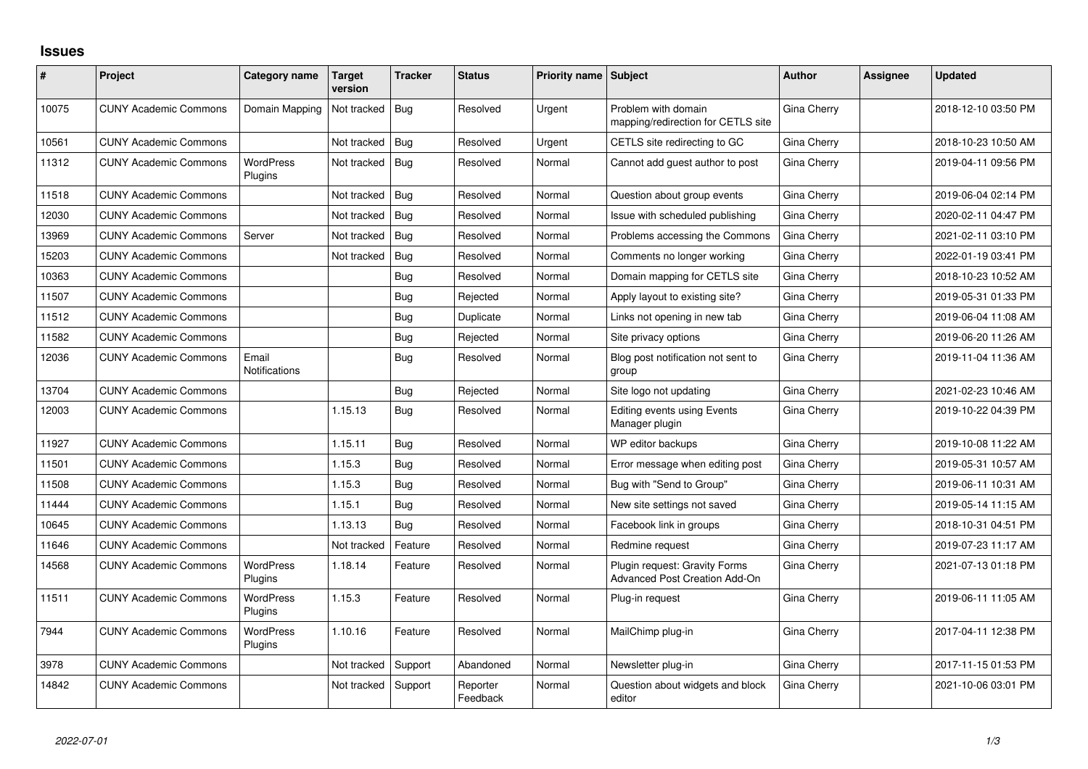## **Issues**

| #     | Project                      | Category name               | <b>Target</b><br>version | <b>Tracker</b> | <b>Status</b>        | Priority name Subject |                                                                       | <b>Author</b> | Assignee | <b>Updated</b>      |
|-------|------------------------------|-----------------------------|--------------------------|----------------|----------------------|-----------------------|-----------------------------------------------------------------------|---------------|----------|---------------------|
| 10075 | <b>CUNY Academic Commons</b> | Domain Mapping              | Not tracked              | Bug            | Resolved             | Urgent                | Problem with domain<br>mapping/redirection for CETLS site             | Gina Cherry   |          | 2018-12-10 03:50 PM |
| 10561 | <b>CUNY Academic Commons</b> |                             | Not tracked              | Bug            | Resolved             | Urgent                | CETLS site redirecting to GC                                          | Gina Cherry   |          | 2018-10-23 10:50 AM |
| 11312 | <b>CUNY Academic Commons</b> | <b>WordPress</b><br>Plugins | Not tracked              | Bug            | Resolved             | Normal                | Cannot add guest author to post                                       | Gina Cherry   |          | 2019-04-11 09:56 PM |
| 11518 | <b>CUNY Academic Commons</b> |                             | Not tracked              | Bug            | Resolved             | Normal                | Question about group events                                           | Gina Cherry   |          | 2019-06-04 02:14 PM |
| 12030 | <b>CUNY Academic Commons</b> |                             | Not tracked              | <b>Bug</b>     | Resolved             | Normal                | Issue with scheduled publishing                                       | Gina Cherry   |          | 2020-02-11 04:47 PM |
| 13969 | <b>CUNY Academic Commons</b> | Server                      | Not tracked              | Bug            | Resolved             | Normal                | Problems accessing the Commons                                        | Gina Cherry   |          | 2021-02-11 03:10 PM |
| 15203 | <b>CUNY Academic Commons</b> |                             | Not tracked              | Bug            | Resolved             | Normal                | Comments no longer working                                            | Gina Cherry   |          | 2022-01-19 03:41 PM |
| 10363 | <b>CUNY Academic Commons</b> |                             |                          | Bug            | Resolved             | Normal                | Domain mapping for CETLS site                                         | Gina Cherry   |          | 2018-10-23 10:52 AM |
| 11507 | <b>CUNY Academic Commons</b> |                             |                          | Bug            | Rejected             | Normal                | Apply layout to existing site?                                        | Gina Cherry   |          | 2019-05-31 01:33 PM |
| 11512 | <b>CUNY Academic Commons</b> |                             |                          | <b>Bug</b>     | Duplicate            | Normal                | Links not opening in new tab                                          | Gina Cherry   |          | 2019-06-04 11:08 AM |
| 11582 | <b>CUNY Academic Commons</b> |                             |                          | Bug            | Rejected             | Normal                | Site privacy options                                                  | Gina Cherry   |          | 2019-06-20 11:26 AM |
| 12036 | <b>CUNY Academic Commons</b> | Email<br>Notifications      |                          | Bug            | Resolved             | Normal                | Blog post notification not sent to<br>group                           | Gina Cherry   |          | 2019-11-04 11:36 AM |
| 13704 | <b>CUNY Academic Commons</b> |                             |                          | Bug            | Rejected             | Normal                | Site logo not updating                                                | Gina Cherry   |          | 2021-02-23 10:46 AM |
| 12003 | <b>CUNY Academic Commons</b> |                             | 1.15.13                  | Bug            | Resolved             | Normal                | <b>Editing events using Events</b><br>Manager plugin                  | Gina Cherry   |          | 2019-10-22 04:39 PM |
| 11927 | <b>CUNY Academic Commons</b> |                             | 1.15.11                  | <b>Bug</b>     | Resolved             | Normal                | WP editor backups                                                     | Gina Cherry   |          | 2019-10-08 11:22 AM |
| 11501 | <b>CUNY Academic Commons</b> |                             | 1.15.3                   | <b>Bug</b>     | Resolved             | Normal                | Error message when editing post                                       | Gina Cherry   |          | 2019-05-31 10:57 AM |
| 11508 | <b>CUNY Academic Commons</b> |                             | 1.15.3                   | Bug            | Resolved             | Normal                | Bug with "Send to Group"                                              | Gina Cherry   |          | 2019-06-11 10:31 AM |
| 11444 | <b>CUNY Academic Commons</b> |                             | 1.15.1                   | Bug            | Resolved             | Normal                | New site settings not saved                                           | Gina Cherry   |          | 2019-05-14 11:15 AM |
| 10645 | <b>CUNY Academic Commons</b> |                             | 1.13.13                  | Bug            | Resolved             | Normal                | Facebook link in groups                                               | Gina Cherry   |          | 2018-10-31 04:51 PM |
| 11646 | <b>CUNY Academic Commons</b> |                             | Not tracked              | Feature        | Resolved             | Normal                | Redmine request                                                       | Gina Cherry   |          | 2019-07-23 11:17 AM |
| 14568 | <b>CUNY Academic Commons</b> | <b>WordPress</b><br>Plugins | 1.18.14                  | Feature        | Resolved             | Normal                | Plugin request: Gravity Forms<br><b>Advanced Post Creation Add-On</b> | Gina Cherry   |          | 2021-07-13 01:18 PM |
| 11511 | <b>CUNY Academic Commons</b> | <b>WordPress</b><br>Plugins | 1.15.3                   | Feature        | Resolved             | Normal                | Plug-in reguest                                                       | Gina Cherry   |          | 2019-06-11 11:05 AM |
| 7944  | <b>CUNY Academic Commons</b> | <b>WordPress</b><br>Plugins | 1.10.16                  | Feature        | Resolved             | Normal                | MailChimp plug-in                                                     | Gina Cherry   |          | 2017-04-11 12:38 PM |
| 3978  | <b>CUNY Academic Commons</b> |                             | Not tracked              | Support        | Abandoned            | Normal                | Newsletter plug-in                                                    | Gina Cherry   |          | 2017-11-15 01:53 PM |
| 14842 | <b>CUNY Academic Commons</b> |                             | Not tracked              | Support        | Reporter<br>Feedback | Normal                | Question about widgets and block<br>editor                            | Gina Cherry   |          | 2021-10-06 03:01 PM |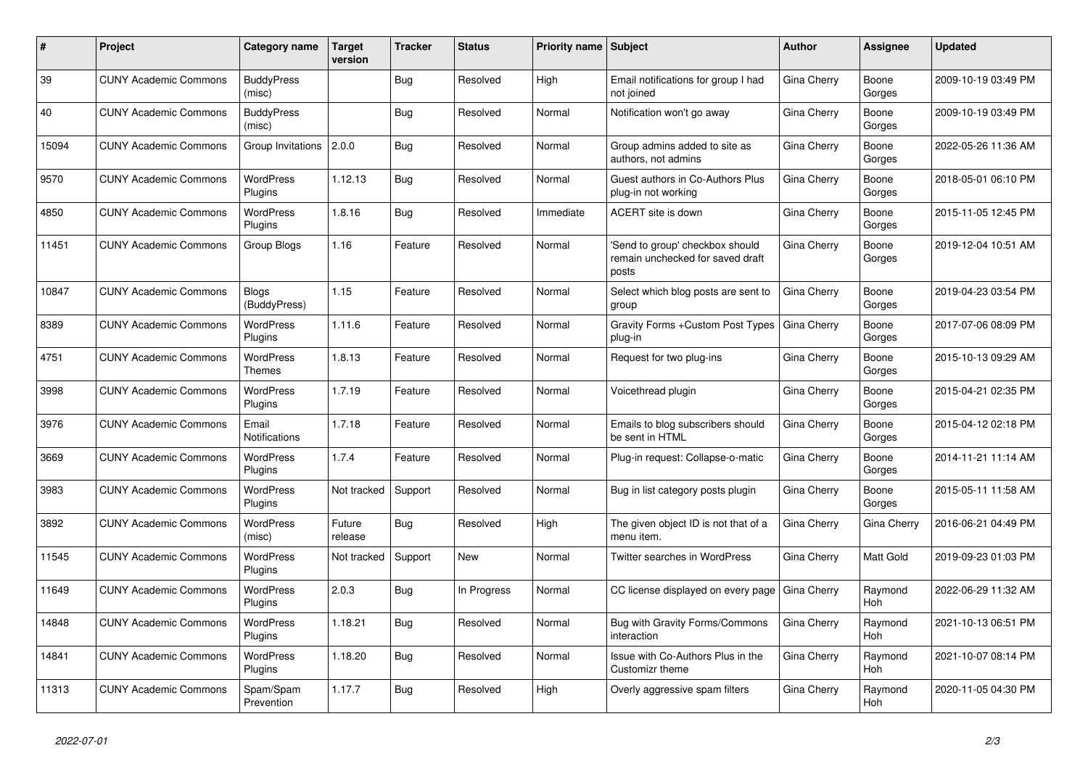| #     | Project                      | <b>Category name</b>              | <b>Target</b><br>version | <b>Tracker</b> | <b>Status</b> | <b>Priority name Subject</b> |                                                                              | <b>Author</b> | Assignee              | <b>Updated</b>      |
|-------|------------------------------|-----------------------------------|--------------------------|----------------|---------------|------------------------------|------------------------------------------------------------------------------|---------------|-----------------------|---------------------|
| 39    | <b>CUNY Academic Commons</b> | <b>BuddyPress</b><br>(misc)       |                          | <b>Bug</b>     | Resolved      | High                         | Email notifications for group I had<br>not joined                            | Gina Cherry   | Boone<br>Gorges       | 2009-10-19 03:49 PM |
| 40    | <b>CUNY Academic Commons</b> | <b>BuddyPress</b><br>(misc)       |                          | Bug            | Resolved      | Normal                       | Notification won't go away                                                   | Gina Cherry   | Boone<br>Gorges       | 2009-10-19 03:49 PM |
| 15094 | <b>CUNY Academic Commons</b> | Group Invitations                 | 2.0.0                    | <b>Bug</b>     | Resolved      | Normal                       | Group admins added to site as<br>authors, not admins                         | Gina Cherry   | Boone<br>Gorges       | 2022-05-26 11:36 AM |
| 9570  | <b>CUNY Academic Commons</b> | <b>WordPress</b><br>Plugins       | 1.12.13                  | Bug            | Resolved      | Normal                       | Guest authors in Co-Authors Plus<br>plug-in not working                      | Gina Cherry   | Boone<br>Gorges       | 2018-05-01 06:10 PM |
| 4850  | <b>CUNY Academic Commons</b> | <b>WordPress</b><br>Plugins       | 1.8.16                   | Bug            | Resolved      | Immediate                    | ACERT site is down                                                           | Gina Cherry   | Boone<br>Gorges       | 2015-11-05 12:45 PM |
| 11451 | <b>CUNY Academic Commons</b> | Group Blogs                       | 1.16                     | Feature        | Resolved      | Normal                       | 'Send to group' checkbox should<br>remain unchecked for saved draft<br>posts | Gina Cherry   | Boone<br>Gorges       | 2019-12-04 10:51 AM |
| 10847 | <b>CUNY Academic Commons</b> | <b>Blogs</b><br>(BuddyPress)      | 1.15                     | Feature        | Resolved      | Normal                       | Select which blog posts are sent to<br>group                                 | Gina Cherry   | Boone<br>Gorges       | 2019-04-23 03:54 PM |
| 8389  | <b>CUNY Academic Commons</b> | <b>WordPress</b><br>Plugins       | 1.11.6                   | Feature        | Resolved      | Normal                       | Gravity Forms + Custom Post Types<br>plug-in                                 | Gina Cherry   | Boone<br>Gorges       | 2017-07-06 08:09 PM |
| 4751  | <b>CUNY Academic Commons</b> | <b>WordPress</b><br><b>Themes</b> | 1.8.13                   | Feature        | Resolved      | Normal                       | Request for two plug-ins                                                     | Gina Cherry   | Boone<br>Gorges       | 2015-10-13 09:29 AM |
| 3998  | <b>CUNY Academic Commons</b> | <b>WordPress</b><br>Plugins       | 1.7.19                   | Feature        | Resolved      | Normal                       | Voicethread plugin                                                           | Gina Cherry   | Boone<br>Gorges       | 2015-04-21 02:35 PM |
| 3976  | <b>CUNY Academic Commons</b> | Email<br><b>Notifications</b>     | 1.7.18                   | Feature        | Resolved      | Normal                       | Emails to blog subscribers should<br>be sent in HTML                         | Gina Cherry   | Boone<br>Gorges       | 2015-04-12 02:18 PM |
| 3669  | <b>CUNY Academic Commons</b> | <b>WordPress</b><br>Plugins       | 1.7.4                    | Feature        | Resolved      | Normal                       | Plug-in request: Collapse-o-matic                                            | Gina Cherry   | Boone<br>Gorges       | 2014-11-21 11:14 AM |
| 3983  | <b>CUNY Academic Commons</b> | <b>WordPress</b><br>Plugins       | Not tracked              | Support        | Resolved      | Normal                       | Bug in list category posts plugin                                            | Gina Cherry   | Boone<br>Gorges       | 2015-05-11 11:58 AM |
| 3892  | <b>CUNY Academic Commons</b> | <b>WordPress</b><br>(misc)        | Future<br>release        | Bug            | Resolved      | High                         | The given object ID is not that of a<br>menu item.                           | Gina Cherry   | Gina Cherry           | 2016-06-21 04:49 PM |
| 11545 | <b>CUNY Academic Commons</b> | <b>WordPress</b><br>Plugins       | Not tracked              | Support        | New           | Normal                       | Twitter searches in WordPress                                                | Gina Cherry   | Matt Gold             | 2019-09-23 01:03 PM |
| 11649 | <b>CUNY Academic Commons</b> | <b>WordPress</b><br>Plugins       | 2.0.3                    | <b>Bug</b>     | In Progress   | Normal                       | CC license displayed on every page                                           | Gina Cherry   | Raymond<br><b>Hoh</b> | 2022-06-29 11:32 AM |
| 14848 | <b>CUNY Academic Commons</b> | <b>WordPress</b><br>Plugins       | 1.18.21                  | <b>Bug</b>     | Resolved      | Normal                       | Bug with Gravity Forms/Commons<br>interaction                                | Gina Cherry   | Raymond<br>Hoh        | 2021-10-13 06:51 PM |
| 14841 | <b>CUNY Academic Commons</b> | <b>WordPress</b><br>Plugins       | 1.18.20                  | Bug            | Resolved      | Normal                       | Issue with Co-Authors Plus in the<br><b>Customizr theme</b>                  | Gina Cherry   | Raymond<br>Hoh        | 2021-10-07 08:14 PM |
| 11313 | <b>CUNY Academic Commons</b> | Spam/Spam<br>Prevention           | 1.17.7                   | Bug            | Resolved      | High                         | Overly aggressive spam filters                                               | Gina Cherry   | Raymond<br>Hoh        | 2020-11-05 04:30 PM |